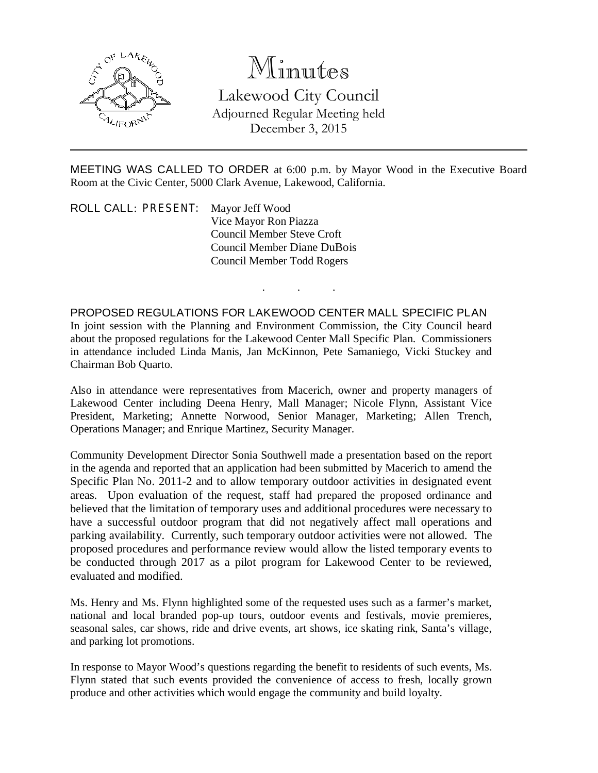

## Minutes

Lakewood City Council Adjourned Regular Meeting held December 3, 2015

MEETING WAS CALLED TO ORDER at 6:00 p.m. by Mayor Wood in the Executive Board Room at the Civic Center, 5000 Clark Avenue, Lakewood, California.

. . .

ROLL CALL: PRESENT: Mayor Jeff Wood Vice Mayor Ron Piazza Council Member Steve Croft Council Member Diane DuBois Council Member Todd Rogers

PROPOSED REGULATIONS FOR LAKEWOOD CENTER MALL SPECIFIC PLAN In joint session with the Planning and Environment Commission, the City Council heard about the proposed regulations for the Lakewood Center Mall Specific Plan. Commissioners in attendance included Linda Manis, Jan McKinnon, Pete Samaniego, Vicki Stuckey and Chairman Bob Quarto.

Also in attendance were representatives from Macerich, owner and property managers of Lakewood Center including Deena Henry, Mall Manager; Nicole Flynn, Assistant Vice President, Marketing; Annette Norwood, Senior Manager, Marketing; Allen Trench, Operations Manager; and Enrique Martinez, Security Manager.

Community Development Director Sonia Southwell made a presentation based on the report in the agenda and reported that an application had been submitted by Macerich to amend the Specific Plan No. 2011-2 and to allow temporary outdoor activities in designated event areas. Upon evaluation of the request, staff had prepared the proposed ordinance and believed that the limitation of temporary uses and additional procedures were necessary to have a successful outdoor program that did not negatively affect mall operations and parking availability. Currently, such temporary outdoor activities were not allowed. The proposed procedures and performance review would allow the listed temporary events to be conducted through 2017 as a pilot program for Lakewood Center to be reviewed, evaluated and modified.

Ms. Henry and Ms. Flynn highlighted some of the requested uses such as a farmer's market, national and local branded pop-up tours, outdoor events and festivals, movie premieres, seasonal sales, car shows, ride and drive events, art shows, ice skating rink, Santa's village, and parking lot promotions.

In response to Mayor Wood's questions regarding the benefit to residents of such events, Ms. Flynn stated that such events provided the convenience of access to fresh, locally grown produce and other activities which would engage the community and build loyalty.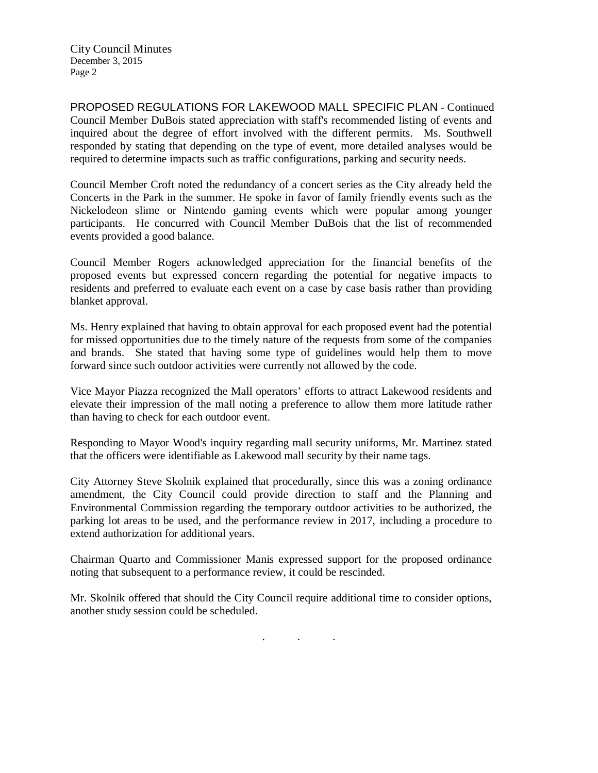City Council Minutes December 3, 2015 Page 2

PROPOSED REGULATIONS FOR LAKEWOOD MALL SPECIFIC PLAN - Continued Council Member DuBois stated appreciation with staff's recommended listing of events and inquired about the degree of effort involved with the different permits. Ms. Southwell responded by stating that depending on the type of event, more detailed analyses would be required to determine impacts such as traffic configurations, parking and security needs.

Council Member Croft noted the redundancy of a concert series as the City already held the Concerts in the Park in the summer. He spoke in favor of family friendly events such as the Nickelodeon slime or Nintendo gaming events which were popular among younger participants. He concurred with Council Member DuBois that the list of recommended events provided a good balance.

Council Member Rogers acknowledged appreciation for the financial benefits of the proposed events but expressed concern regarding the potential for negative impacts to residents and preferred to evaluate each event on a case by case basis rather than providing blanket approval.

Ms. Henry explained that having to obtain approval for each proposed event had the potential for missed opportunities due to the timely nature of the requests from some of the companies and brands. She stated that having some type of guidelines would help them to move forward since such outdoor activities were currently not allowed by the code.

Vice Mayor Piazza recognized the Mall operators' efforts to attract Lakewood residents and elevate their impression of the mall noting a preference to allow them more latitude rather than having to check for each outdoor event.

Responding to Mayor Wood's inquiry regarding mall security uniforms, Mr. Martinez stated that the officers were identifiable as Lakewood mall security by their name tags.

City Attorney Steve Skolnik explained that procedurally, since this was a zoning ordinance amendment, the City Council could provide direction to staff and the Planning and Environmental Commission regarding the temporary outdoor activities to be authorized, the parking lot areas to be used, and the performance review in 2017, including a procedure to extend authorization for additional years.

Chairman Quarto and Commissioner Manis expressed support for the proposed ordinance noting that subsequent to a performance review, it could be rescinded.

Mr. Skolnik offered that should the City Council require additional time to consider options, another study session could be scheduled.

. . .